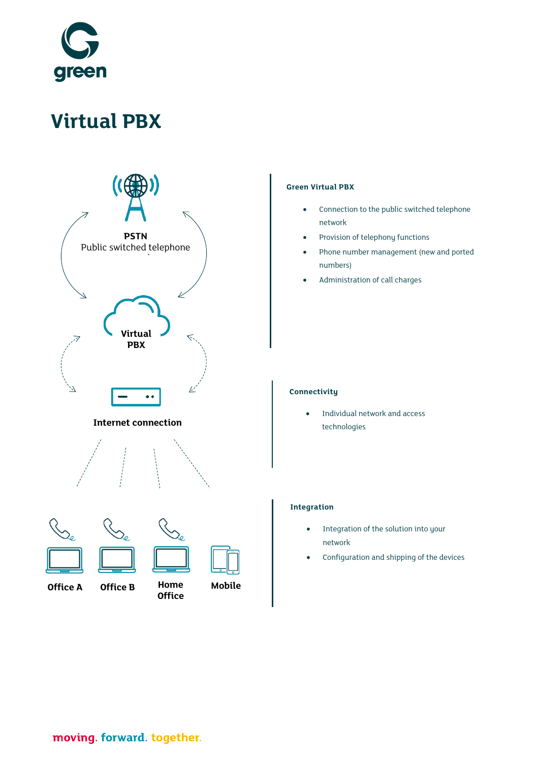

# **Virtual PBX**



**Office A Office B**

**Office**

**Home Mobile**

#### **Green Virtual PBX**

- Connection to the public switched telephone network
- Provision of telephony functions
- Phone number management (new and ported numbers)
- Administration of call charges

#### **Connectivity**

• Individual network and access technologies

#### **Integration**

- Integration of the solution into your network
- Configuration and shipping of the devices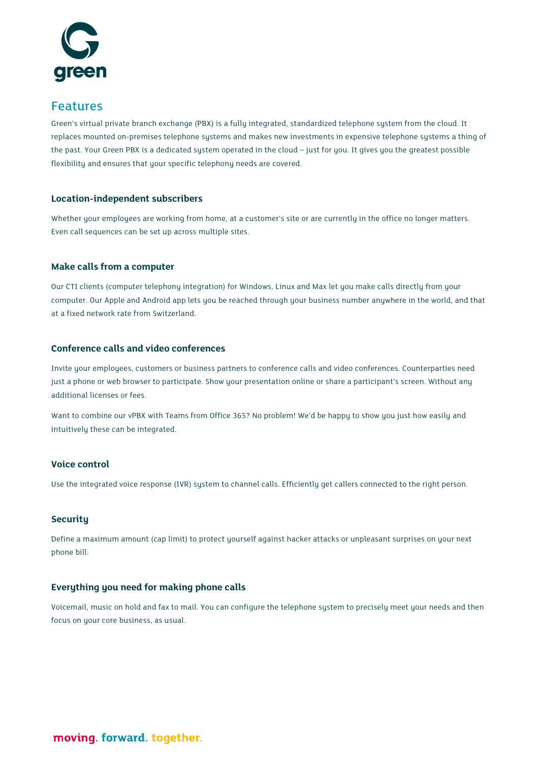

## Features

Green's virtual private branch exchange (PBX) is a fully integrated, standardized telephone system from the cloud. It replaces mounted on-premises telephone systems and makes new investments in expensive telephone systems a thing of the past. Your Green PBX is a dedicated system operated in the cloud – just for you. It gives you the greatest possible flexibility and ensures that your specific telephony needs are covered.

#### **Location-independent subscribers**

Whether your employees are working from home, at a customer's site or are currently in the office no longer matters. Even call sequences can be set up across multiple sites.

#### **Make calls from a computer**

Our CTI clients (computer telephony integration) for Windows, Linux and Max let you make calls directly from your computer. Our Apple and Android app lets you be reached through your business number anywhere in the world, and that at a fixed network rate from Switzerland.

#### **Conference calls and video conferences**

Invite your employees, customers or business partners to conference calls and video conferences. Counterparties need just a phone or web browser to participate. Show your presentation online or share a participant's screen. Without any additional licenses or fees.

Want to combine our vPBX with Teams from Office 365? No problem! We'd be happy to show you just how easily and intuitively these can be integrated.

#### **Voice control**

Use the integrated voice response (IVR) system to channel calls. Efficiently get callers connected to the right person.

#### **Security**

Define a maximum amount (cap limit) to protect yourself against hacker attacks or unpleasant surprises on your next phone bill.

#### **Everything you need for making phone calls**

Voicemail, music on hold and fax to mail. You can configure the telephone system to precisely meet your needs and then focus on your core business, as usual.

moving. forward. together.